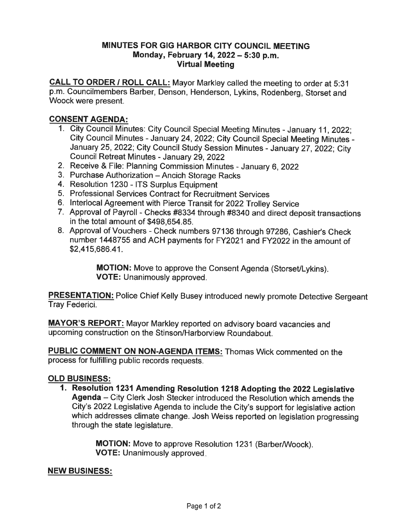## MINUTES FOR GIG HARBOR CITY COUNCIL MEETING Monday, February 14, 2022 - 5:30 p. m. Virtual Meeting

CALL TO ORDER / ROLL CALL: Mayor Markley called the meeting to order at 5:31 p.m. Councilmembers Barber, Denson, Henderson, Lykins, Rodenberg, Storset and Woock were present.

# CONSENT AGENDA:

- 1. City Council Minutes: City Council Special Meeting Minutes January 11, 2022; City Council Minutes - January 24, 2022; City Council Special Meeting Minutes - January 25, 2022; City Council Study Session Minutes - January 27, 2022; City Council Retreat Minutes - January 29, 2022
- 2. Receive & File: Planning Commission Minutes January 6, 2022
- 3. Purchase Authorization Ancich Storage Racks
- 4. Resolution 1230 ITS Surplus Equipment
- 5. Professional Services Contract for Recruitment Services
- 6. Interlocal Agreement with Pierce Transit for 2022 Trolley Service
- 7. Approval of Payroll Checks #8334 through #8340 and direct deposit transactions in the total amount of \$498,654.85.
- 8. Approval of Vouchers Check numbers 97136 through 97286, Cashier's Check number 1448755 and ACH payments for FY2021 and FY2022 in the amount of \$2,415, 686. 41.

MOTION: Move to approve the Consent Agenda (Storset/Lykins). VOTE: Unanimously approved.

**PRESENTATION:** Police Chief Kelly Busey introduced newly promote Detective Sergeant Tray Federici.

MAYOR'S REPORT: Mayor Markley reported on advisory board vacancies and upcoming construction on the Stinson/Harborview Roundabout.

PUBLIC COMMENT ON NON-AGENDA ITEMS: Thomas Wick commented on the process for fulfilling public records requests.

#### OLD BUSINESS:

1. Resolution 1231 Amending Resolution 1218 Adopting the 2022 Legislative Agenda - City Clerk Josh Stecker introduced the Resolution which amends the City's 2022 Legislative Agenda to include the City's support for legislative action which addresses climate change. Josh Weiss reported on legislation progressing through the state legislature.

> MOTION: Move to approve Resolution 1231 (Barber/Woock). VOTE: Unanimously approved

#### NEW BUSINESS: